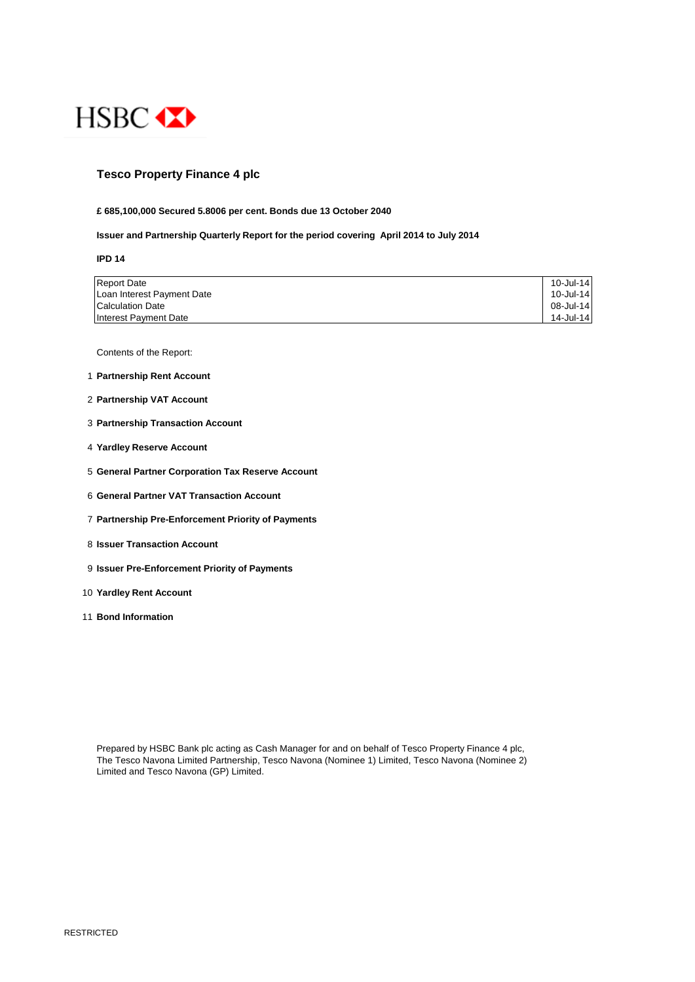

# **Tesco Property Finance 4 plc**

### **£ 685,100,000 Secured 5.8006 per cent. Bonds due 13 October 2040**

## **Issuer and Partnership Quarterly Report for the period covering April 2014 to July 2014**

**IPD 14**

| <b>Report Date</b>         | 10-Jul-14 |
|----------------------------|-----------|
| Loan Interest Payment Date | 10-Jul-14 |
| Calculation Date           | 08-Jul-14 |
| Interest Payment Date      | 14-Jul-14 |

Contents of the Report:

- 1 **Partnership Rent Account**
- 2 **Partnership VAT Account**
- 3 **Partnership Transaction Account**
- 4 **Yardley Reserve Account**
- 5 **General Partner Corporation Tax Reserve Account**
- 6 **General Partner VAT Transaction Account**
- 7 **Partnership Pre-Enforcement Priority of Payments**
- 8 **Issuer Transaction Account**
- 9 **Issuer Pre-Enforcement Priority of Payments**
- 10 **Yardley Rent Account**
- 11 **Bond Information**

Prepared by HSBC Bank plc acting as Cash Manager for and on behalf of Tesco Property Finance 4 plc, The Tesco Navona Limited Partnership, Tesco Navona (Nominee 1) Limited, Tesco Navona (Nominee 2) Limited and Tesco Navona (GP) Limited.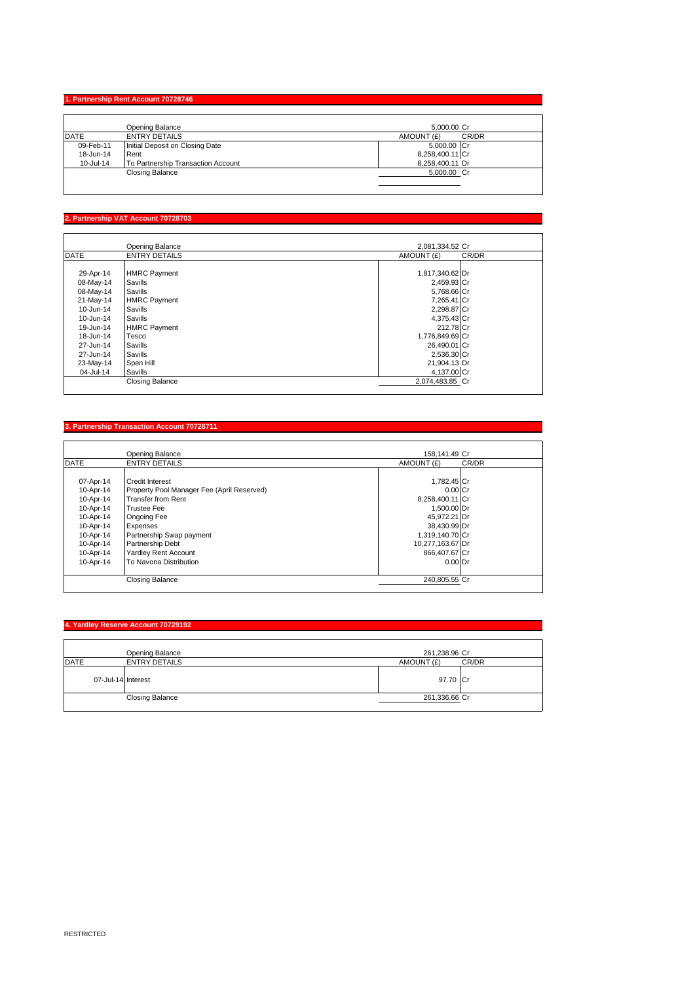# **1. Partnership Rent Account 70728746**

|             | Opening Balance                    | 5.000.00 Cr         |
|-------------|------------------------------------|---------------------|
| <b>DATE</b> | <b>ENTRY DETAILS</b>               | CR/DR<br>AMOUNT (£) |
| 09-Feb-11   | Initial Deposit on Closing Date    | 5,000.00 Cr         |
| 18-Jun-14   | Rent                               | 8,258,400.11 Cr     |
| 10-Jul-14   | To Partnership Transaction Account | 8,258,400.11 Dr     |
|             | <b>Closing Balance</b>             | 5,000.00 Cr         |
|             |                                    |                     |

# **2. Partnership VAT Account 70728703**

Π

|             | Opening Balance        | 2,081,334.52 Cr |       |
|-------------|------------------------|-----------------|-------|
| <b>DATE</b> | <b>ENTRY DETAILS</b>   | AMOUNT (£)      | CR/DR |
|             |                        |                 |       |
| 29-Apr-14   | <b>HMRC Payment</b>    | 1,817,340.62 Dr |       |
| 08-May-14   | Savills                | 2,459.93 Cr     |       |
| 08-May-14   | Savills                | 5,768.66 Cr     |       |
| 21-May-14   | <b>HMRC Payment</b>    | 7,265.41 Cr     |       |
| 10-Jun-14   | Savills                | 2,298.87 Cr     |       |
| 10-Jun-14   | Savills                | 4,375.43 Cr     |       |
| 19-Jun-14   | <b>HMRC Payment</b>    | 212.78 Cr       |       |
| 18-Jun-14   | Tesco                  | 1,776,849.69 Cr |       |
| 27-Jun-14   | Savills                | 26,490.01 Cr    |       |
| 27-Jun-14   | Savills                | 2,536.30 Cr     |       |
| 23-May-14   | Spen Hill              | 21,904.13 Dr    |       |
| 04-Jul-14   | Savills                | 4,137.00 Cr     |       |
|             | <b>Closing Balance</b> | 2,074,483.85 Cr |       |

## **3. Partnership Transaction Account 70728711**

|             | Opening Balance                            | 158.141.49 Cr       |  |
|-------------|--------------------------------------------|---------------------|--|
| <b>DATE</b> | <b>ENTRY DETAILS</b>                       | CR/DR<br>AMOUNT (£) |  |
|             |                                            |                     |  |
| 07-Apr-14   | <b>Credit Interest</b>                     | 1,782.45 Cr         |  |
| 10-Apr-14   | Property Pool Manager Fee (April Reserved) | $0.00$ Cr           |  |
| 10-Apr-14   | <b>Transfer from Rent</b>                  | 8,258,400.11 Cr     |  |
| 10-Apr-14   | <b>Trustee Fee</b>                         | 1.500.00 Dr         |  |
| 10-Apr-14   | <b>Ongoing Fee</b>                         | 45,972.21 Dr        |  |
| 10-Apr-14   | Expenses                                   | 38,430.99 Dr        |  |
| 10-Apr-14   | Partnership Swap payment                   | 1,319,140.70 Cr     |  |
| 10-Apr-14   | Partnership Debt                           | 10,277,163.67 Dr    |  |
| 10-Apr-14   | Yardley Rent Account                       | 866,407.67 Cr       |  |
| 10-Apr-14   | To Navona Distribution                     | $0.00$ Dr           |  |
|             |                                            |                     |  |
|             | <b>Closing Balance</b>                     | 240,805.55 Cr       |  |

#### **4. Yardley Reserve Account 70729192**

|             | Opening Balance        | 261,238.96 Cr |       |
|-------------|------------------------|---------------|-------|
| <b>DATE</b> | <b>ENTRY DETAILS</b>   | AMOUNT (£)    | CR/DR |
|             | 07-Jul-14 Interest     | 97.70 Cr      |       |
|             | <b>Closing Balance</b> | 261,336.66 Cr |       |
|             |                        |               |       |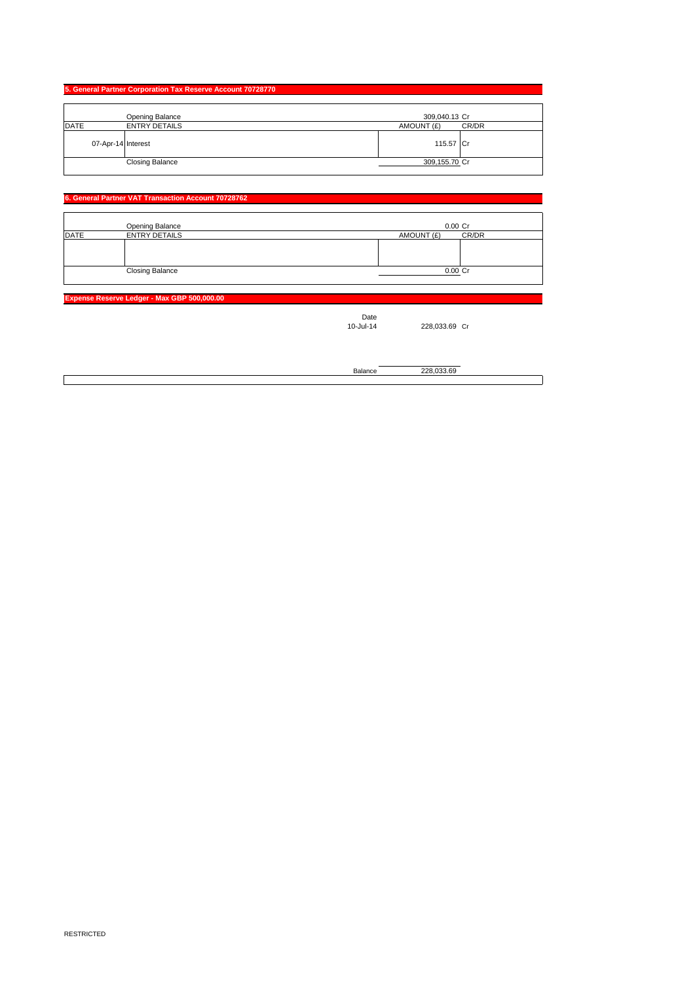| 5. General Partner Corporation Tax Reserve Account 70728770 |  |  |
|-------------------------------------------------------------|--|--|
| 309,040.13 Cr                                               |  |  |
| AMOUNT (£)<br>CR/DR                                         |  |  |
| 115.57 Cr                                                   |  |  |
| 309,155.70 Cr                                               |  |  |
|                                                             |  |  |

### **6. General Partner VAT Transaction Account 70728762**

|             | Opening Balance        | $0.00$ Cr           |
|-------------|------------------------|---------------------|
| <b>DATE</b> | <b>ENTRY DETAILS</b>   | CR/DR<br>AMOUNT (£) |
|             |                        |                     |
|             |                        |                     |
|             |                        |                     |
|             | <b>Closing Balance</b> | 0.00 Cr             |
|             |                        |                     |

**Expense Reserve Ledger - Max GBP 500,000.00**

Date<br>10-Jul-14

228,033.69 Cr

Balance 228,033.69

 $\overline{\mathsf{I}}$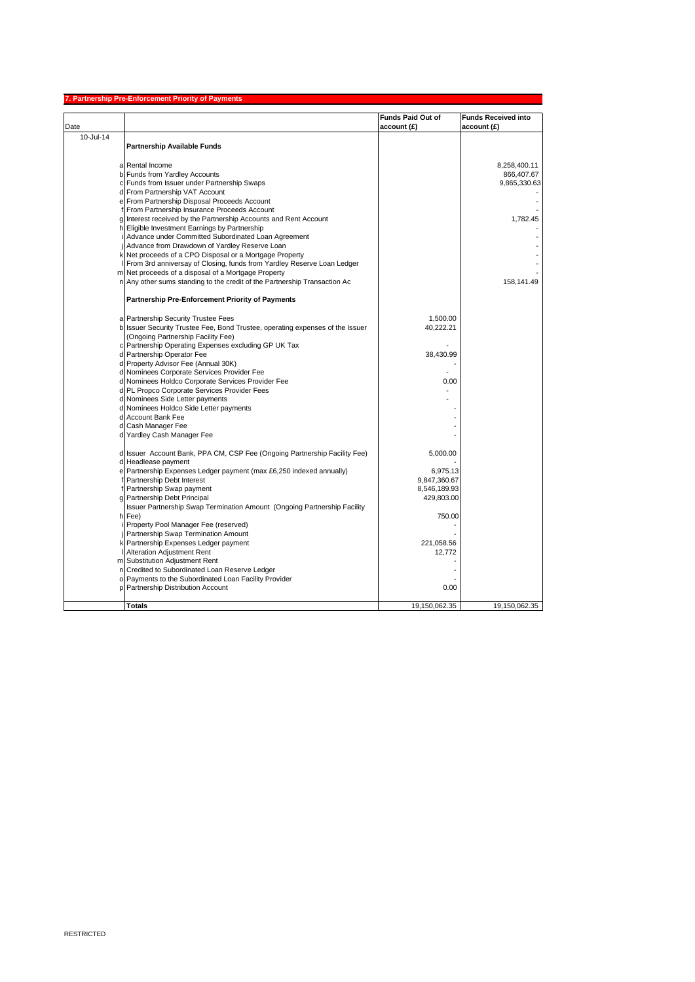|           | 7. Partnership Pre-Enforcement Priority of Payments                                                               |                                         |                                           |
|-----------|-------------------------------------------------------------------------------------------------------------------|-----------------------------------------|-------------------------------------------|
| Date      |                                                                                                                   | <b>Funds Paid Out of</b><br>account (£) | <b>Funds Received into</b><br>account (£) |
| 10-Jul-14 |                                                                                                                   |                                         |                                           |
|           | <b>Partnership Available Funds</b>                                                                                |                                         |                                           |
|           |                                                                                                                   |                                         |                                           |
|           | a Rental Income                                                                                                   |                                         | 8,258,400.11                              |
|           | b Funds from Yardley Accounts                                                                                     |                                         | 866,407.67                                |
|           | c Funds from Issuer under Partnership Swaps                                                                       |                                         | 9,865,330.63                              |
|           | d From Partnership VAT Account                                                                                    |                                         |                                           |
|           | e From Partnership Disposal Proceeds Account                                                                      |                                         |                                           |
|           | f From Partnership Insurance Proceeds Account<br>g Interest received by the Partnership Accounts and Rent Account |                                         |                                           |
|           | h Eligible Investment Earnings by Partnership                                                                     |                                         | 1,782.45                                  |
|           | i Advance under Committed Subordinated Loan Agreement                                                             |                                         |                                           |
|           | j Advance from Drawdown of Yardley Reserve Loan                                                                   |                                         |                                           |
|           | k Net proceeds of a CPO Disposal or a Mortgage Property                                                           |                                         |                                           |
|           | I From 3rd anniversay of Closing, funds from Yardley Reserve Loan Ledger                                          |                                         |                                           |
|           | m Net proceeds of a disposal of a Mortgage Property                                                               |                                         |                                           |
|           | n Any other sums standing to the credit of the Partnership Transaction Ac                                         |                                         | 158,141.49                                |
|           |                                                                                                                   |                                         |                                           |
|           | Partnership Pre-Enforcement Priority of Payments                                                                  |                                         |                                           |
|           | a Partnership Security Trustee Fees                                                                               | 1,500.00                                |                                           |
|           | b Issuer Security Trustee Fee, Bond Trustee, operating expenses of the Issuer                                     | 40,222.21                               |                                           |
|           | (Ongoing Partnership Facility Fee)                                                                                |                                         |                                           |
|           | c Partnership Operating Expenses excluding GP UK Tax                                                              |                                         |                                           |
|           | d Partnership Operator Fee                                                                                        | 38,430.99                               |                                           |
|           | d Property Advisor Fee (Annual 30K)                                                                               |                                         |                                           |
|           | d Nominees Corporate Services Provider Fee                                                                        |                                         |                                           |
|           | d Nominees Holdco Corporate Services Provider Fee                                                                 | 0.00                                    |                                           |
|           | d PL Propco Corporate Services Provider Fees                                                                      |                                         |                                           |
|           | d Nominees Side Letter payments                                                                                   |                                         |                                           |
|           | d Nominees Holdco Side Letter payments                                                                            |                                         |                                           |
|           | d Account Bank Fee                                                                                                |                                         |                                           |
|           | d Cash Manager Fee                                                                                                |                                         |                                           |
|           | d Yardley Cash Manager Fee                                                                                        |                                         |                                           |
|           | d Issuer Account Bank, PPA CM, CSP Fee (Ongoing Partnership Facility Fee)                                         | 5,000.00                                |                                           |
|           | d Headlease payment                                                                                               |                                         |                                           |
|           | e Partnership Expenses Ledger payment (max £6,250 indexed annually)                                               | 6,975.13                                |                                           |
|           | f Partnership Debt Interest                                                                                       | 9,847,360.67                            |                                           |
|           | f Partnership Swap payment                                                                                        | 8,546,189.93                            |                                           |
|           | g Partnership Debt Principal                                                                                      | 429,803.00                              |                                           |
|           | Issuer Partnership Swap Termination Amount (Ongoing Partnership Facility                                          |                                         |                                           |
|           | h Fee)                                                                                                            | 750.00                                  |                                           |
|           | i Property Pool Manager Fee (reserved)                                                                            |                                         |                                           |
|           | <b>Partnership Swap Termination Amount</b>                                                                        |                                         |                                           |
|           | k Partnership Expenses Ledger payment<br>I Alteration Adjustment Rent                                             | 221,058.56<br>12,772                    |                                           |
|           | m Substitution Adjustment Rent                                                                                    |                                         |                                           |
|           | n Credited to Subordinated Loan Reserve Ledger                                                                    |                                         |                                           |
|           | o Payments to the Subordinated Loan Facility Provider                                                             |                                         |                                           |
|           | p Partnership Distribution Account                                                                                | 0.00                                    |                                           |
|           |                                                                                                                   |                                         |                                           |
|           | Totals                                                                                                            | 19,150,062.35                           | 19,150,062.35                             |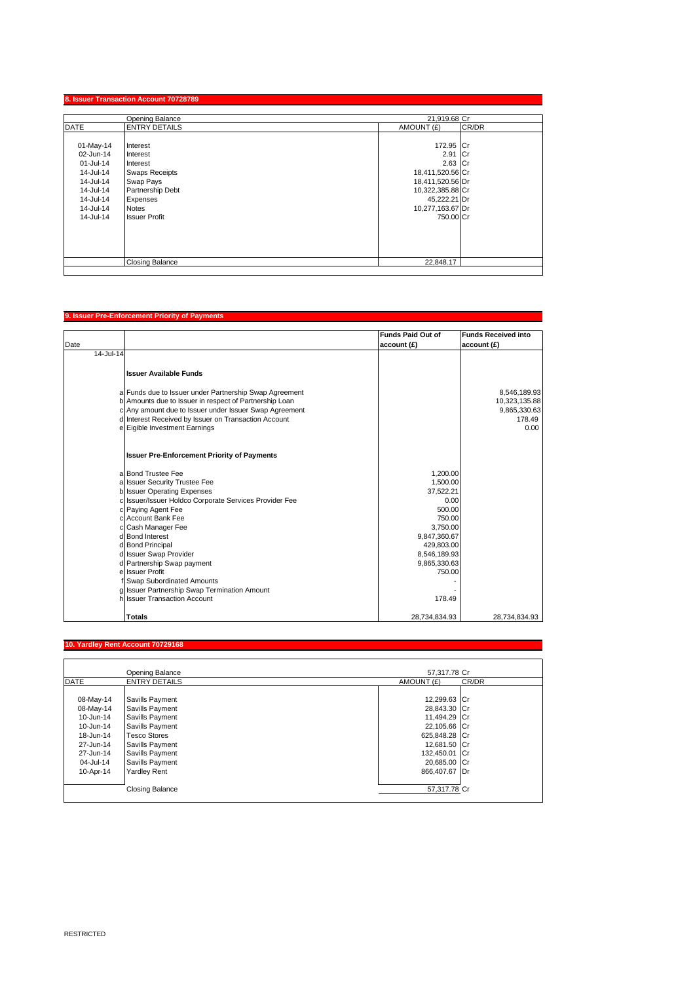|             | Opening Balance        | 21,919.68 Cr     |       |
|-------------|------------------------|------------------|-------|
| <b>DATE</b> | <b>ENTRY DETAILS</b>   | AMOUNT (£)       | CR/DR |
| 01-May-14   | Interest               | 172.95 Cr        |       |
| 02-Jun-14   | Interest               | 2.91 Cr          |       |
| 01-Jul-14   | Interest               | $2.63$ Cr        |       |
| 14-Jul-14   | <b>Swaps Receipts</b>  | 18,411,520.56 Cr |       |
| 14-Jul-14   | Swap Pays              | 18,411,520.56 Dr |       |
| 14-Jul-14   | Partnership Debt       | 10,322,385.88 Cr |       |
| 14-Jul-14   | Expenses               | 45,222.21 Dr     |       |
| 14-Jul-14   | <b>Notes</b>           | 10,277,163.67 Dr |       |
| 14-Jul-14   | <b>Issuer Profit</b>   | 750.00 Cr        |       |
|             |                        |                  |       |
|             |                        |                  |       |
|             |                        |                  |       |
|             | <b>Closing Balance</b> | 22,848.17        |       |

#### **9. Issuer Pre-Enforcement Priority of Payments**

|           |                                                        | <b>Funds Paid Out of</b> | <b>Funds Received into</b> |
|-----------|--------------------------------------------------------|--------------------------|----------------------------|
| Date      |                                                        | account (£)              | account (£)                |
| 14-Jul-14 |                                                        |                          |                            |
|           |                                                        |                          |                            |
|           | <b>Issuer Available Funds</b>                          |                          |                            |
|           |                                                        |                          |                            |
|           | a Funds due to Issuer under Partnership Swap Agreement |                          | 8,546,189.93               |
|           | b Amounts due to Issuer in respect of Partnership Loan |                          | 10,323,135.88              |
|           | c Any amount due to Issuer under Issuer Swap Agreement |                          | 9,865,330.63               |
|           | d Interest Received by Issuer on Transaction Account   |                          | 178.49                     |
|           | e Eigible Investment Earnings                          |                          | 0.00                       |
|           |                                                        |                          |                            |
|           |                                                        |                          |                            |
|           | <b>Issuer Pre-Enforcement Priority of Payments</b>     |                          |                            |
|           | a Bond Trustee Fee                                     | 1,200.00                 |                            |
|           | a Issuer Security Trustee Fee                          | 1.500.00                 |                            |
|           | b Issuer Operating Expenses                            | 37,522.21                |                            |
|           | c Issuer/Issuer Holdco Corporate Services Provider Fee | 0.00                     |                            |
|           | c Paying Agent Fee                                     | 500.00                   |                            |
|           | c Account Bank Fee                                     | 750.00                   |                            |
|           | c Cash Manager Fee                                     | 3.750.00                 |                            |
|           | d Bond Interest                                        | 9,847,360.67             |                            |
|           | d Bond Principal                                       | 429,803.00               |                            |
|           | d Issuer Swap Provider                                 | 8,546,189.93             |                            |
|           | d Partnership Swap payment                             | 9,865,330.63             |                            |
|           | e Issuer Profit                                        | 750.00                   |                            |
|           | Swap Subordinated Amounts                              |                          |                            |
|           | g Issuer Partnership Swap Termination Amount           |                          |                            |
|           | h Issuer Transaction Account                           | 178.49                   |                            |
|           |                                                        |                          |                            |
|           | <b>Totals</b>                                          | 28.734.834.93            | 28.734.834.93              |

### **10. Yardley Rent Account 70729168**

|             | Opening Balance        | 57,317.78 Cr  |       |
|-------------|------------------------|---------------|-------|
| <b>DATE</b> | <b>ENTRY DETAILS</b>   | AMOUNT (£)    | CR/DR |
|             |                        |               |       |
| 08-May-14   | Savills Payment        | 12,299.63 Cr  |       |
| 08-May-14   | Savills Payment        | 28,843.30 Cr  |       |
| 10-Jun-14   | Savills Payment        | 11,494.29 Cr  |       |
| 10-Jun-14   | Savills Payment        | 22,105.66 Cr  |       |
| 18-Jun-14   | <b>Tesco Stores</b>    | 625,848.28 Cr |       |
| 27-Jun-14   | Savills Payment        | 12,681.50 Cr  |       |
| 27-Jun-14   | Savills Payment        | 132,450.01 Cr |       |
| 04-Jul-14   | Savills Payment        | 20.685.00 Cr  |       |
| 10-Apr-14   | <b>Yardley Rent</b>    | 866.407.67 Dr |       |
|             |                        |               |       |
|             | <b>Closing Balance</b> | 57,317.78 Cr  |       |